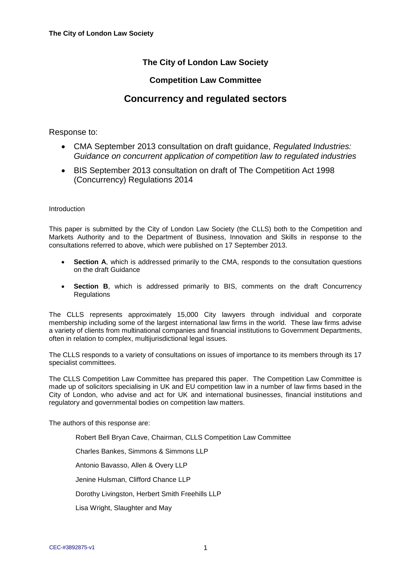## **The City of London Law Society**

### **Competition Law Committee**

# **Concurrency and regulated sectors**

#### Response to:

- CMA September 2013 consultation on draft guidance, *Regulated Industries: Guidance on concurrent application of competition law to regulated industries*
- BIS September 2013 consultation on draft of The Competition Act 1998 (Concurrency) Regulations 2014

#### Introduction

This paper is submitted by the City of London Law Society (the CLLS) both to the Competition and Markets Authority and to the Department of Business, Innovation and Skills in response to the consultations referred to above, which were published on 17 September 2013.

- **Section A**, which is addressed primarily to the CMA, responds to the consultation questions on the draft Guidance
- **Section B**, which is addressed primarily to BIS, comments on the draft Concurrency **Regulations**

The CLLS represents approximately 15,000 City lawyers through individual and corporate membership including some of the largest international law firms in the world. These law firms advise a variety of clients from multinational companies and financial institutions to Government Departments, often in relation to complex, multijurisdictional legal issues.

The CLLS responds to a variety of consultations on issues of importance to its members through its 17 specialist committees.

The CLLS Competition Law Committee has prepared this paper. The Competition Law Committee is made up of solicitors specialising in UK and EU competition law in a number of law firms based in the City of London, who advise and act for UK and international businesses, financial institutions and regulatory and governmental bodies on competition law matters.

The authors of this response are:

Robert Bell Bryan Cave, Chairman, CLLS Competition Law Committee Charles Bankes, Simmons & Simmons LLP Antonio Bavasso, Allen & Overy LLP Jenine Hulsman, Clifford Chance LLP Dorothy Livingston, Herbert Smith Freehills LLP Lisa Wright, Slaughter and May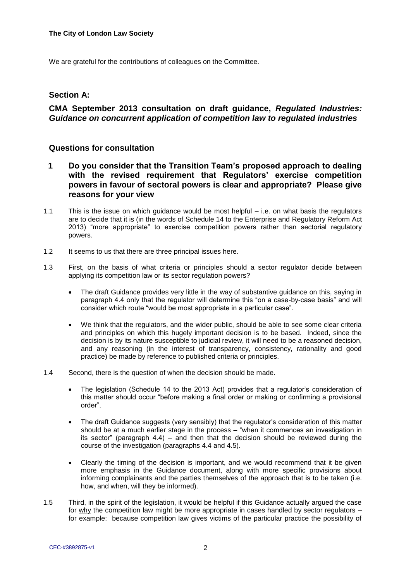We are grateful for the contributions of colleagues on the Committee.

#### **Section A:**

## **CMA September 2013 consultation on draft guidance,** *Regulated Industries: Guidance on concurrent application of competition law to regulated industries*

#### **Questions for consultation**

- **1 Do you consider that the Transition Team's proposed approach to dealing with the revised requirement that Regulators' exercise competition powers in favour of sectoral powers is clear and appropriate? Please give reasons for your view**
- 1.1 This is the issue on which guidance would be most helpful i.e. on what basis the regulators are to decide that it is (in the words of Schedule 14 to the Enterprise and Regulatory Reform Act 2013) "more appropriate" to exercise competition powers rather than sectorial regulatory powers.
- 1.2 It seems to us that there are three principal issues here.
- 1.3 First, on the basis of what criteria or principles should a sector regulator decide between applying its competition law or its sector regulation powers?
	- The draft Guidance provides very little in the way of substantive guidance on this, saying in paragraph 4.4 only that the regulator will determine this "on a case-by-case basis" and will consider which route "would be most appropriate in a particular case".
	- We think that the regulators, and the wider public, should be able to see some clear criteria and principles on which this hugely important decision is to be based. Indeed, since the decision is by its nature susceptible to judicial review, it will need to be a reasoned decision, and any reasoning (in the interest of transparency, consistency, rationality and good practice) be made by reference to published criteria or principles.
- 1.4 Second, there is the question of when the decision should be made.
	- The legislation (Schedule 14 to the 2013 Act) provides that a regulator's consideration of this matter should occur "before making a final order or making or confirming a provisional order".
	- The draft Guidance suggests (very sensibly) that the regulator's consideration of this matter should be at a much earlier stage in the process – "when it commences an investigation in its sector" (paragraph 4.4) – and then that the decision should be reviewed during the course of the investigation (paragraphs 4.4 and 4.5).
	- Clearly the timing of the decision is important, and we would recommend that it be given more emphasis in the Guidance document, along with more specific provisions about informing complainants and the parties themselves of the approach that is to be taken (i.e. how, and when, will they be informed).
- 1.5 Third, in the spirit of the legislation, it would be helpful if this Guidance actually argued the case for why the competition law might be more appropriate in cases handled by sector regulators – for example: because competition law gives victims of the particular practice the possibility of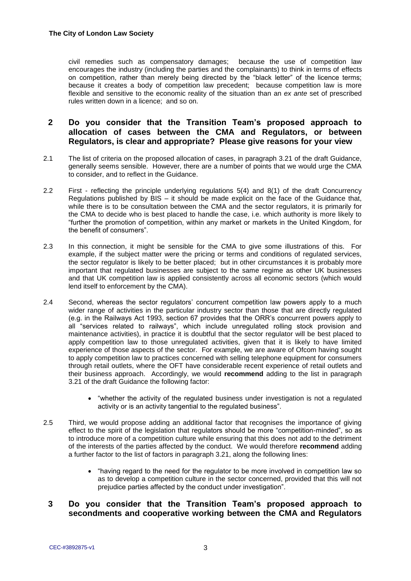civil remedies such as compensatory damages; because the use of competition law encourages the industry (including the parties and the complainants) to think in terms of effects on competition, rather than merely being directed by the "black letter" of the licence terms; because it creates a body of competition law precedent; because competition law is more flexible and sensitive to the economic reality of the situation than an *ex ante* set of prescribed rules written down in a licence; and so on.

### **2 Do you consider that the Transition Team's proposed approach to allocation of cases between the CMA and Regulators, or between Regulators, is clear and appropriate? Please give reasons for your view**

- 2.1 The list of criteria on the proposed allocation of cases, in paragraph 3.21 of the draft Guidance, generally seems sensible. However, there are a number of points that we would urge the CMA to consider, and to reflect in the Guidance.
- 2.2 First reflecting the principle underlying regulations 5(4) and 8(1) of the draft Concurrency Regulations published by BIS – it should be made explicit on the face of the Guidance that, while there is to be consultation between the CMA and the sector regulators, it is primarily for the CMA to decide who is best placed to handle the case, i.e. which authority is more likely to "further the promotion of competition, within any market or markets in the United Kingdom, for the benefit of consumers".
- 2.3 In this connection, it might be sensible for the CMA to give some illustrations of this. For example, if the subject matter were the pricing or terms and conditions of regulated services, the sector regulator is likely to be better placed; but in other circumstances it is probably more important that regulated businesses are subject to the same regime as other UK businesses and that UK competition law is applied consistently across all economic sectors (which would lend itself to enforcement by the CMA).
- 2.4 Second, whereas the sector regulators' concurrent competition law powers apply to a much wider range of activities in the particular industry sector than those that are directly regulated (e.g. in the Railways Act 1993, section 67 provides that the ORR's concurrent powers apply to all "services related to railways", which include unregulated rolling stock provision and maintenance activities), in practice it is doubtful that the sector regulator will be best placed to apply competition law to those unregulated activities, given that it is likely to have limited experience of those aspects of the sector. For example, we are aware of Ofcom having sought to apply competition law to practices concerned with selling telephone equipment for consumers through retail outlets, where the OFT have considerable recent experience of retail outlets and their business approach. Accordingly, we would **recommend** adding to the list in paragraph 3.21 of the draft Guidance the following factor:
	- "whether the activity of the regulated business under investigation is not a regulated activity or is an activity tangential to the regulated business".
- 2.5 Third, we would propose adding an additional factor that recognises the importance of giving effect to the spirit of the legislation that regulators should be more "competition-minded", so as to introduce more of a competition culture while ensuring that this does not add to the detriment of the interests of the parties affected by the conduct. We would therefore **recommend** adding a further factor to the list of factors in paragraph 3.21, along the following lines:
	- "having regard to the need for the regulator to be more involved in competition law so as to develop a competition culture in the sector concerned, provided that this will not prejudice parties affected by the conduct under investigation".

### **3 Do you consider that the Transition Team's proposed approach to secondments and cooperative working between the CMA and Regulators**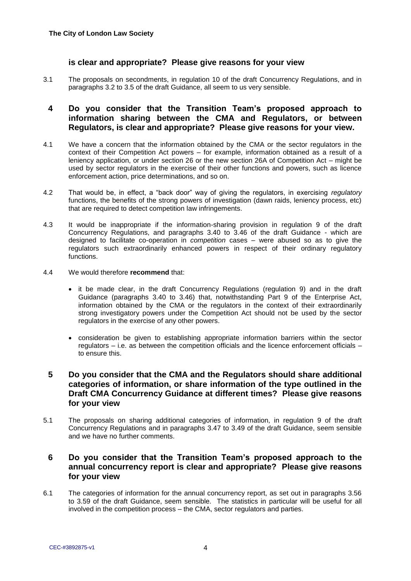#### **is clear and appropriate? Please give reasons for your view**

3.1 The proposals on secondments, in regulation 10 of the draft Concurrency Regulations, and in paragraphs 3.2 to 3.5 of the draft Guidance, all seem to us very sensible.

## **4 Do you consider that the Transition Team's proposed approach to information sharing between the CMA and Regulators, or between Regulators, is clear and appropriate? Please give reasons for your view.**

- 4.1 We have a concern that the information obtained by the CMA or the sector regulators in the context of their Competition Act powers – for example, information obtained as a result of a leniency application, or under section 26 or the new section 26A of Competition Act – might be used by sector regulators in the exercise of their other functions and powers, such as licence enforcement action, price determinations, and so on.
- 4.2 That would be, in effect, a "back door" way of giving the regulators, in exercising *regulatory* functions, the benefits of the strong powers of investigation (dawn raids, leniency process, etc) that are required to detect competition law infringements.
- 4.3 It would be inappropriate if the information-sharing provision in regulation 9 of the draft Concurrency Regulations, and paragraphs 3.40 to 3.46 of the draft Guidance - which are designed to facilitate co-operation in *competition* cases – were abused so as to give the regulators such extraordinarily enhanced powers in respect of their ordinary regulatory functions.
- 4.4 We would therefore **recommend** that:
	- it be made clear, in the draft Concurrency Regulations (regulation 9) and in the draft Guidance (paragraphs 3.40 to 3.46) that, notwithstanding Part 9 of the Enterprise Act, information obtained by the CMA or the regulators in the context of their extraordinarily strong investigatory powers under the Competition Act should not be used by the sector regulators in the exercise of any other powers.
	- consideration be given to establishing appropriate information barriers within the sector regulators – i.e. as between the competition officials and the licence enforcement officials – to ensure this.

### **5 Do you consider that the CMA and the Regulators should share additional categories of information, or share information of the type outlined in the Draft CMA Concurrency Guidance at different times? Please give reasons for your view**

5.1 The proposals on sharing additional categories of information, in regulation 9 of the draft Concurrency Regulations and in paragraphs 3.47 to 3.49 of the draft Guidance, seem sensible and we have no further comments.

### **6 Do you consider that the Transition Team's proposed approach to the annual concurrency report is clear and appropriate? Please give reasons for your view**

6.1 The categories of information for the annual concurrency report, as set out in paragraphs 3.56 to 3.59 of the draft Guidance, seem sensible. The statistics in particular will be useful for all involved in the competition process – the CMA, sector regulators and parties.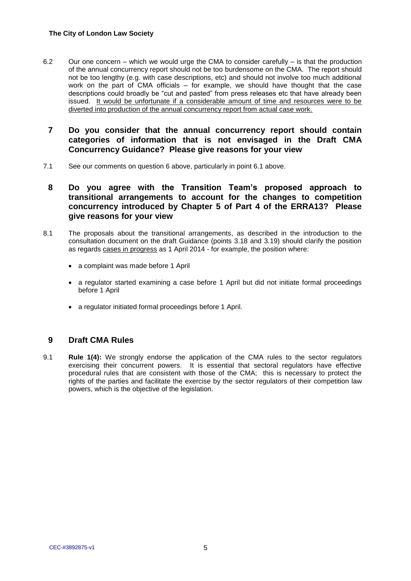- 6.2 Our one concern which we would urge the CMA to consider carefully is that the production of the annual concurrency report should not be too burdensome on the CMA. The report should not be too lengthy (e.g. with case descriptions, etc) and should not involve too much additional work on the part of CMA officials – for example, we should have thought that the case descriptions could broadly be "cut and pasted" from press releases etc that have already been issued. It would be unfortunate if a considerable amount of time and resources were to be diverted into production of the annual concurrency report from actual case work.
- **7 Do you consider that the annual concurrency report should contain categories of information that is not envisaged in the Draft CMA Concurrency Guidance? Please give reasons for your view**
- 7.1 See our comments on question 6 above, particularly in point 6.1 above.

### **8 Do you agree with the Transition Team's proposed approach to transitional arrangements to account for the changes to competition concurrency introduced by Chapter 5 of Part 4 of the ERRA13? Please give reasons for your view**

- 8.1 The proposals about the transitional arrangements, as described in the introduction to the consultation document on the draft Guidance (points 3.18 and 3.19) should clarify the position as regards cases in progress as 1 April 2014 - for example, the position where:
	- a complaint was made before 1 April
	- a regulator started examining a case before 1 April but did not initiate formal proceedings before 1 April
	- a regulator initiated formal proceedings before 1 April.

#### **9 Draft CMA Rules**

9.1 **Rule 1(4):** We strongly endorse the application of the CMA rules to the sector regulators exercising their concurrent powers. It is essential that sectoral regulators have effective procedural rules that are consistent with those of the CMA; this is necessary to protect the rights of the parties and facilitate the exercise by the sector regulators of their competition law powers, which is the objective of the legislation.